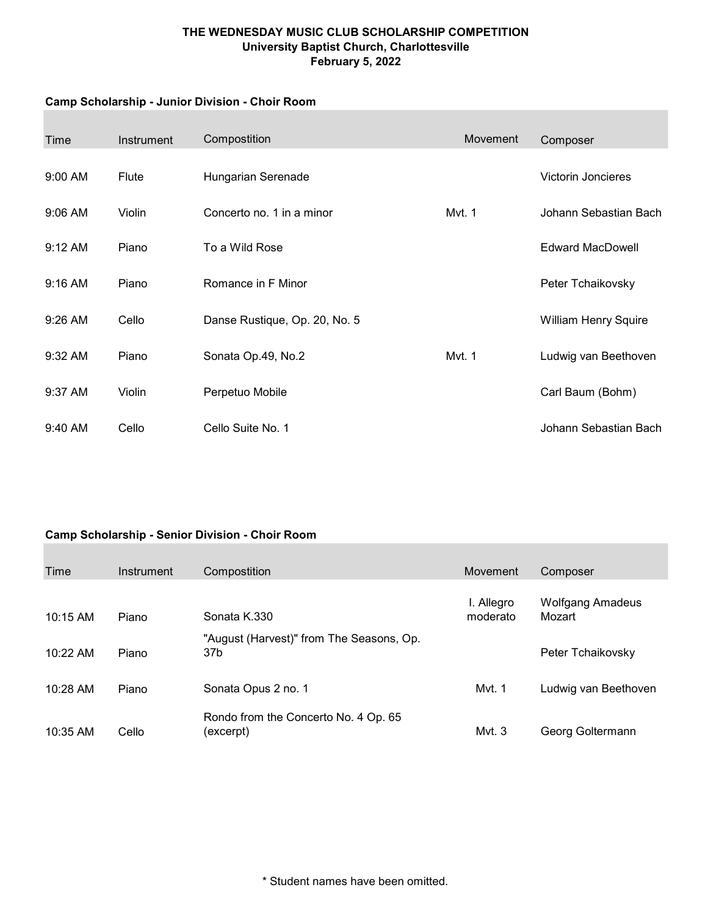### THE WEDNESDAY MUSIC CLUB SCHOLARSHIP COMPETITION University Baptist Church, Charlottesville February 5, 2022

#### Camp Scholarship - Junior Division - Choir Room

| Time      | Instrument | Compostition                  | Movement | Composer                    |
|-----------|------------|-------------------------------|----------|-----------------------------|
| $9:00$ AM | Flute      | Hungarian Serenade            |          | Victorin Joncieres          |
| 9:06 AM   | Violin     | Concerto no. 1 in a minor     | Mvt. 1   | Johann Sebastian Bach       |
| 9:12 AM   | Piano      | To a Wild Rose                |          | <b>Edward MacDowell</b>     |
| $9:16$ AM | Piano      | Romance in F Minor            |          | Peter Tchaikovsky           |
| 9:26 AM   | Cello      | Danse Rustique, Op. 20, No. 5 |          | <b>William Henry Squire</b> |
| 9:32 AM   | Piano      | Sonata Op.49, No.2            | Mvt. 1   | Ludwig van Beethoven        |
| $9:37$ AM | Violin     | Perpetuo Mobile               |          | Carl Baum (Bohm)            |
| 9:40 AM   | Cello      | Cello Suite No. 1             |          | Johann Sebastian Bach       |

# Camp Scholarship - Senior Division - Choir Room

| Time       | Instrument | Compostition                                      | Movement               | Composer                          |
|------------|------------|---------------------------------------------------|------------------------|-----------------------------------|
| 10:15 AM   | Piano      | Sonata K.330                                      | I. Allegro<br>moderato | <b>Wolfgang Amadeus</b><br>Mozart |
| 10:22 AM   | Piano      | "August (Harvest)" from The Seasons, Op.<br>37b   |                        | Peter Tchaikovsky                 |
| $10:28$ AM | Piano      | Sonata Opus 2 no. 1                               | Myt. 1                 | Ludwig van Beethoven              |
| 10:35 AM   | Cello      | Rondo from the Concerto No. 4 Op. 65<br>(excerpt) | Mvt. $3$               | Georg Goltermann                  |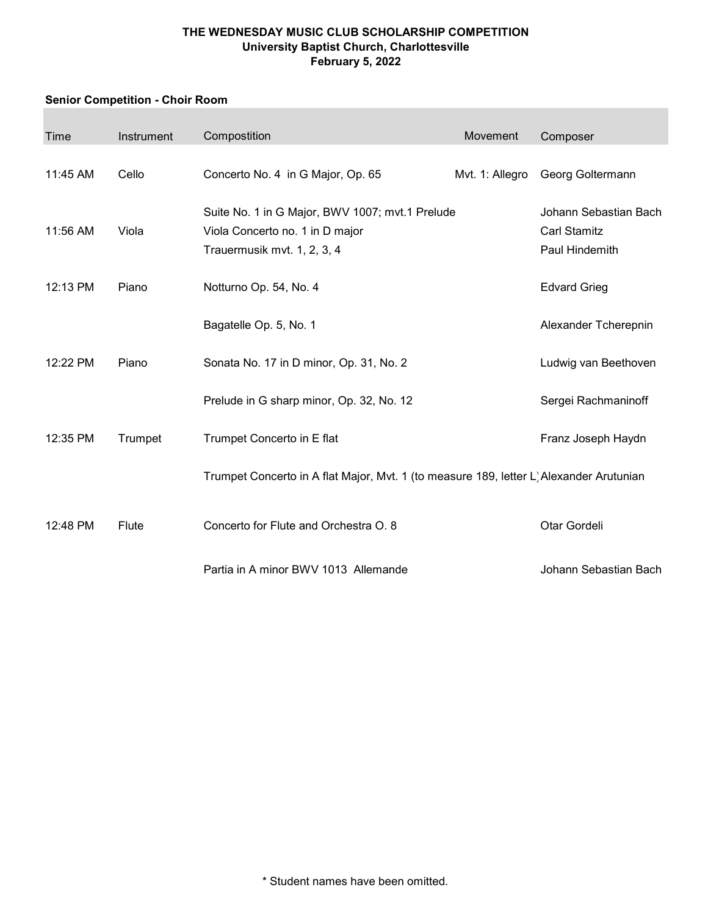### THE WEDNESDAY MUSIC CLUB SCHOLARSHIP COMPETITION University Baptist Church, Charlottesville February 5, 2022

# Senior Competition - Choir Room

| Time     | Instrument | Compostition                                                                                                      | Movement        | Composer                                                       |
|----------|------------|-------------------------------------------------------------------------------------------------------------------|-----------------|----------------------------------------------------------------|
| 11:45 AM | Cello      | Concerto No. 4 in G Major, Op. 65                                                                                 | Mvt. 1: Allegro | Georg Goltermann                                               |
| 11:56 AM | Viola      | Suite No. 1 in G Major, BWV 1007; mvt.1 Prelude<br>Viola Concerto no. 1 in D major<br>Trauermusik mvt. 1, 2, 3, 4 |                 | Johann Sebastian Bach<br><b>Carl Stamitz</b><br>Paul Hindemith |
| 12:13 PM | Piano      | Notturno Op. 54, No. 4                                                                                            |                 | <b>Edvard Grieg</b>                                            |
|          |            | Bagatelle Op. 5, No. 1                                                                                            |                 | Alexander Tcherepnin                                           |
| 12:22 PM | Piano      | Sonata No. 17 in D minor, Op. 31, No. 2                                                                           |                 | Ludwig van Beethoven                                           |
|          |            | Prelude in G sharp minor, Op. 32, No. 12                                                                          |                 | Sergei Rachmaninoff                                            |
| 12:35 PM | Trumpet    | Trumpet Concerto in E flat                                                                                        |                 | Franz Joseph Haydn                                             |
|          |            | Trumpet Concerto in A flat Major, Mvt. 1 (to measure 189, letter L) Alexander Arutunian                           |                 |                                                                |
| 12:48 PM | Flute      | Concerto for Flute and Orchestra O. 8                                                                             |                 | Otar Gordeli                                                   |
|          |            | Partia in A minor BWV 1013 Allemande                                                                              |                 | Johann Sebastian Bach                                          |